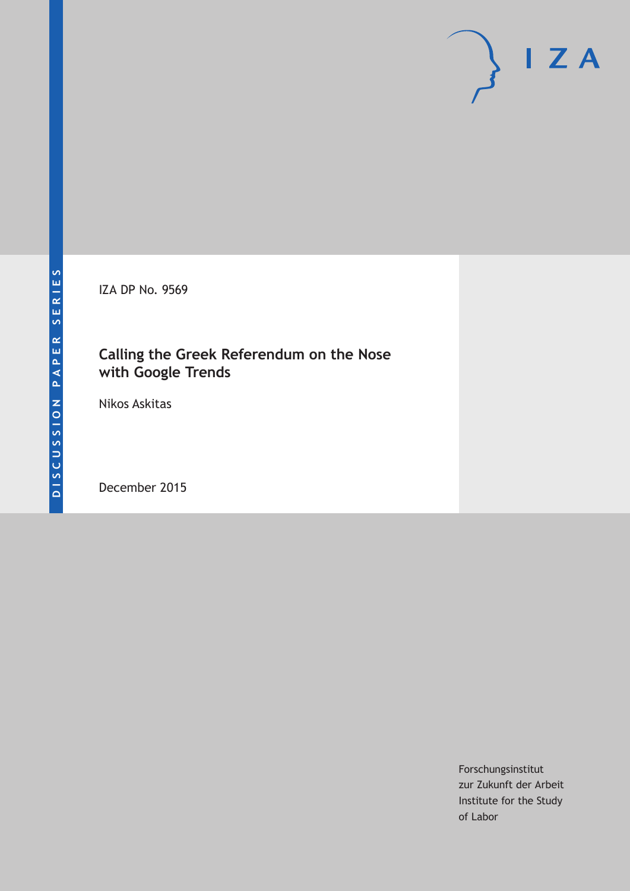IZA DP No. 9569

# **Calling the Greek Referendum on the Nose with Google Trends**

Nikos Askitas

December 2015

Forschungsinstitut zur Zukunft der Arbeit Institute for the Study of Labor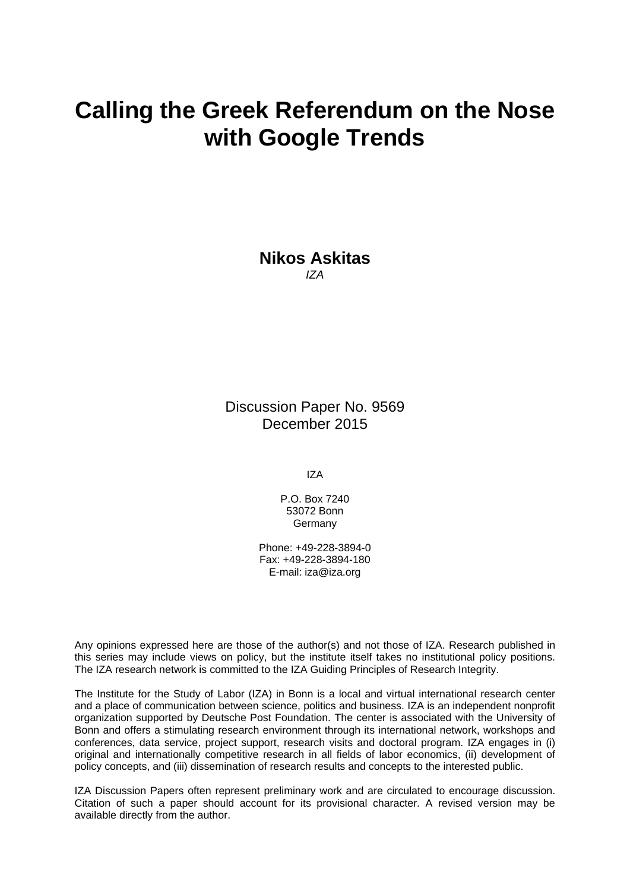# **Calling the Greek Referendum on the Nose with Google Trends**

**Nikos Askitas**  *IZA* 

Discussion Paper No. 9569 December 2015

IZA

P.O. Box 7240 53072 Bonn **Germany** 

Phone: +49-228-3894-0 Fax: +49-228-3894-180 E-mail: iza@iza.org

Any opinions expressed here are those of the author(s) and not those of IZA. Research published in this series may include views on policy, but the institute itself takes no institutional policy positions. The IZA research network is committed to the IZA Guiding Principles of Research Integrity.

The Institute for the Study of Labor (IZA) in Bonn is a local and virtual international research center and a place of communication between science, politics and business. IZA is an independent nonprofit organization supported by Deutsche Post Foundation. The center is associated with the University of Bonn and offers a stimulating research environment through its international network, workshops and conferences, data service, project support, research visits and doctoral program. IZA engages in (i) original and internationally competitive research in all fields of labor economics, (ii) development of policy concepts, and (iii) dissemination of research results and concepts to the interested public.

IZA Discussion Papers often represent preliminary work and are circulated to encourage discussion. Citation of such a paper should account for its provisional character. A revised version may be available directly from the author.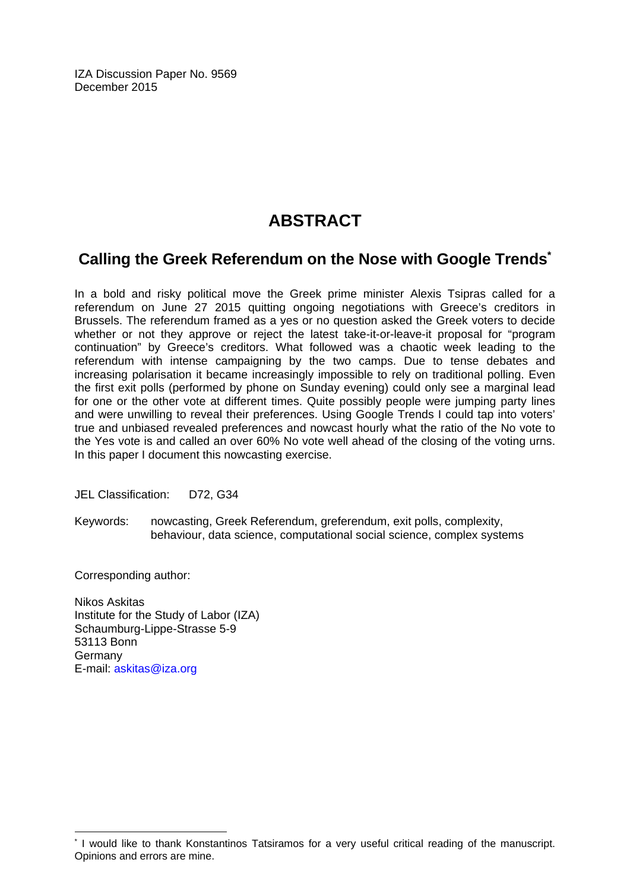IZA Discussion Paper No. 9569 December 2015

# **ABSTRACT**

# **Calling the Greek Referendum on the Nose with Google Trends\***

In a bold and risky political move the Greek prime minister Alexis Tsipras called for a referendum on June 27 2015 quitting ongoing negotiations with Greece's creditors in Brussels. The referendum framed as a yes or no question asked the Greek voters to decide whether or not they approve or reject the latest take-it-or-leave-it proposal for "program continuation" by Greece's creditors. What followed was a chaotic week leading to the referendum with intense campaigning by the two camps. Due to tense debates and increasing polarisation it became increasingly impossible to rely on traditional polling. Even the first exit polls (performed by phone on Sunday evening) could only see a marginal lead for one or the other vote at different times. Quite possibly people were jumping party lines and were unwilling to reveal their preferences. Using Google Trends I could tap into voters' true and unbiased revealed preferences and nowcast hourly what the ratio of the No vote to the Yes vote is and called an over 60% No vote well ahead of the closing of the voting urns. In this paper I document this nowcasting exercise.

JEL Classification: D72, G34

Keywords: nowcasting, Greek Referendum, greferendum, exit polls, complexity, behaviour, data science, computational social science, complex systems

Corresponding author:

 $\overline{\phantom{a}}$ 

Nikos Askitas Institute for the Study of Labor (IZA) Schaumburg-Lippe-Strasse 5-9 53113 Bonn Germany E-mail: askitas@iza.org

<sup>\*</sup> I would like to thank Konstantinos Tatsiramos for a very useful critical reading of the manuscript. Opinions and errors are mine.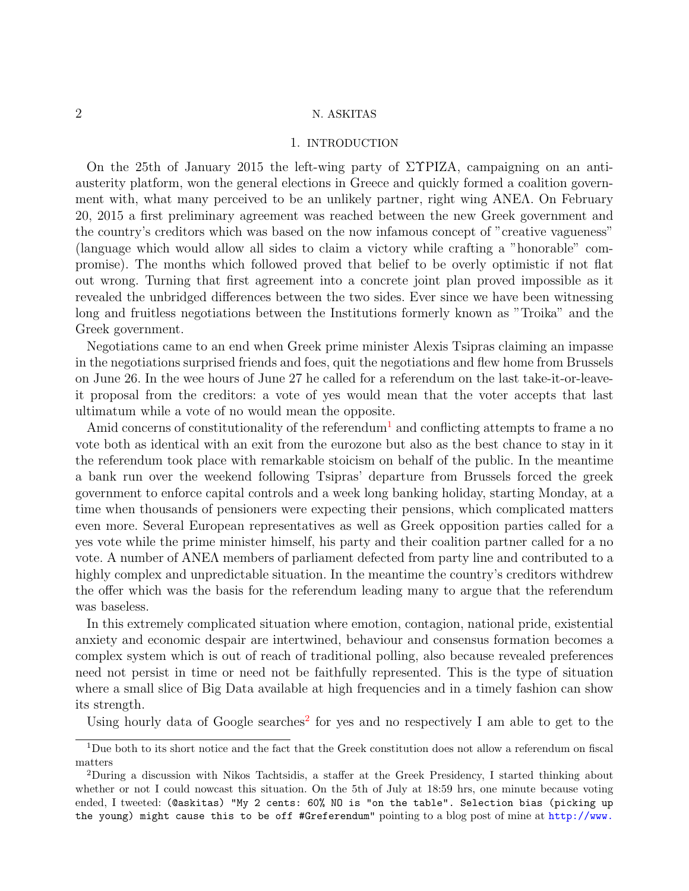## 1. INTRODUCTION

On the 25th of January 2015 the left-wing party of ΣΥΡΙΖΑ, campaigning on an antiausterity platform, won the general elections in Greece and quickly formed a coalition government with, what many perceived to be an unlikely partner, right wing ΑΝΕΛ. On February 20, 2015 a first preliminary agreement was reached between the new Greek government and the country's creditors which was based on the now infamous concept of "creative vagueness" (language which would allow all sides to claim a victory while crafting a "honorable" compromise). The months which followed proved that belief to be overly optimistic if not flat out wrong. Turning that first agreement into a concrete joint plan proved impossible as it revealed the unbridged differences between the two sides. Ever since we have been witnessing long and fruitless negotiations between the Institutions formerly known as "Troika" and the Greek government.

Negotiations came to an end when Greek prime minister Alexis Tsipras claiming an impasse in the negotiations surprised friends and foes, quit the negotiations and flew home from Brussels on June 26. In the wee hours of June 27 he called for a referendum on the last take-it-or-leaveit proposal from the creditors: a vote of yes would mean that the voter accepts that last ultimatum while a vote of no would mean the opposite.

Amid concerns of constitutionality of the referendum<sup>[1](#page-3-0)</sup> and conflicting attempts to frame a no vote both as identical with an exit from the eurozone but also as the best chance to stay in it the referendum took place with remarkable stoicism on behalf of the public. In the meantime a bank run over the weekend following Tsipras' departure from Brussels forced the greek government to enforce capital controls and a week long banking holiday, starting Monday, at a time when thousands of pensioners were expecting their pensions, which complicated matters even more. Several European representatives as well as Greek opposition parties called for a yes vote while the prime minister himself, his party and their coalition partner called for a no vote. A number of ΑΝΕΛ members of parliament defected from party line and contributed to a highly complex and unpredictable situation. In the meantime the country's creditors withdrew the offer which was the basis for the referendum leading many to argue that the referendum was baseless.

In this extremely complicated situation where emotion, contagion, national pride, existential anxiety and economic despair are intertwined, behaviour and consensus formation becomes a complex system which is out of reach of traditional polling, also because revealed preferences need not persist in time or need not be faithfully represented. This is the type of situation where a small slice of Big Data available at high frequencies and in a timely fashion can show its strength.

Using hourly data of Google searches<sup>[2](#page-3-1)</sup> for yes and no respectively I am able to get to the

<span id="page-3-0"></span> $1$ Due both to its short notice and the fact that the Greek constitution does not allow a referendum on fiscal matters

<span id="page-3-1"></span><sup>2</sup>During a discussion with Nikos Tachtsidis, a staffer at the Greek Presidency, I started thinking about whether or not I could nowcast this situation. On the 5th of July at 18:59 hrs, one minute because voting ended, I tweeted: (@askitas) "My 2 cents: 60% NO is "on the table". Selection bias (picking up the young) might cause this to be off #Greferendum" pointing to a blog post of mine at [http://www.](http://www.askitas.com/2015/07/05/greferendum-now/)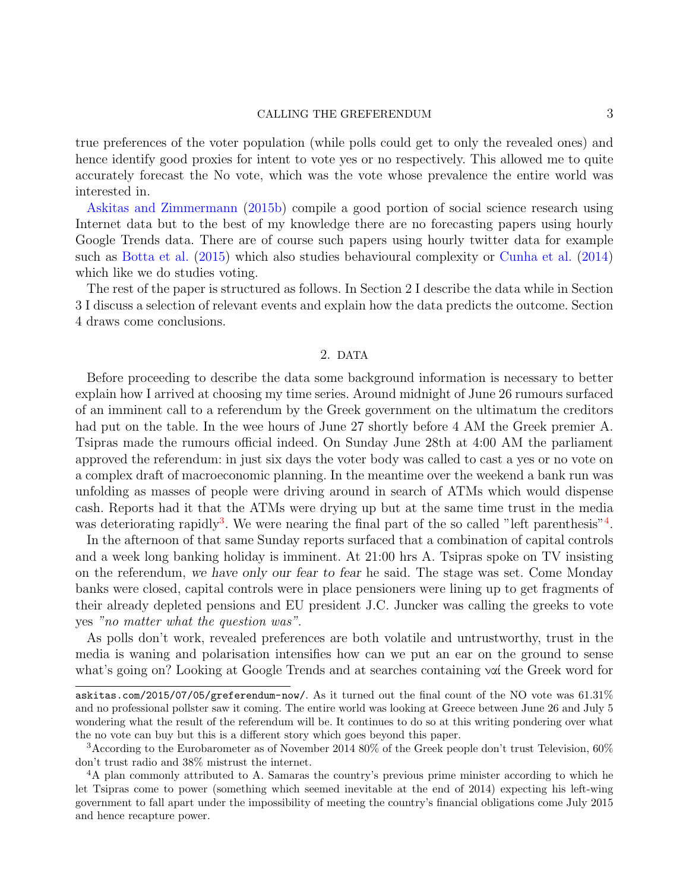#### [CALLING THE GREFERENDUM](http://www.askitas.com/2015/07/05/greferendum-now/) 3

[true preferences of the voter population \(while polls could get to only the revealed ones\) and](http://www.askitas.com/2015/07/05/greferendum-now/) [hence identify good proxies for intent to vote yes or no respectively. This allowed me to quite](http://www.askitas.com/2015/07/05/greferendum-now/) [accurately forecast the No vote, which was the vote whose prevalence the entire world was](http://www.askitas.com/2015/07/05/greferendum-now/) [interested in.](http://www.askitas.com/2015/07/05/greferendum-now/)

[Askitas and Zimmermann](#page-11-0) [\(2015b\) compile a good portion of social science research using](http://www.askitas.com/2015/07/05/greferendum-now/) [Internet data but to the best of my knowledge there are no forecasting papers using hourly](http://www.askitas.com/2015/07/05/greferendum-now/) [Google Trends data. There are of course such papers using hourly twitter data for example](http://www.askitas.com/2015/07/05/greferendum-now/) such as [Botta et al.](#page-11-1) [\(2015\) which also studies behavioural complexity or](http://www.askitas.com/2015/07/05/greferendum-now/) [Cunha et al.](#page-11-2) [\(2014\)](#page-11-2) [which like we do studies voting.](http://www.askitas.com/2015/07/05/greferendum-now/)

[The rest of the paper is structured as follows. In Section 2 I describe the data while in Section](http://www.askitas.com/2015/07/05/greferendum-now/) [3 I discuss a selection of relevant events and explain how the data predicts the outcome. Section](http://www.askitas.com/2015/07/05/greferendum-now/) [4 draws come conclusions.](http://www.askitas.com/2015/07/05/greferendum-now/)

### 2. [DATA](http://www.askitas.com/2015/07/05/greferendum-now/)

[Before proceeding to describe the data some background information is necessary to better](http://www.askitas.com/2015/07/05/greferendum-now/) [explain how I arrived at choosing my time series. Around midnight of June 26 rumours surfaced](http://www.askitas.com/2015/07/05/greferendum-now/) [of an imminent call to a referendum by the Greek government on the ultimatum the creditors](http://www.askitas.com/2015/07/05/greferendum-now/) [had put on the table. In the wee hours of June 27 shortly before 4 AM the Greek premier A.](http://www.askitas.com/2015/07/05/greferendum-now/) [Tsipras made the rumours official indeed. On Sunday June 28th at 4:00 AM the parliament](http://www.askitas.com/2015/07/05/greferendum-now/) [approved the referendum: in just six days the voter body was called to cast a yes or no vote on](http://www.askitas.com/2015/07/05/greferendum-now/) [a complex draft of macroeconomic planning. In the meantime over the weekend a bank run was](http://www.askitas.com/2015/07/05/greferendum-now/) [unfolding as masses of people were driving around in search of ATMs which would dispense](http://www.askitas.com/2015/07/05/greferendum-now/) [cash. Reports had it that the ATMs were drying up but at the same time trust in the media](http://www.askitas.com/2015/07/05/greferendum-now/) was deteriorating rapidly<sup>[3](#page-4-0)</sup>[. We were nearing the final part of the so called "left parenthesis"](http://www.askitas.com/2015/07/05/greferendum-now/)<sup>[4](#page-4-1)</sup>.

[In the afternoon of that same Sunday reports surfaced that a combination of capital controls](http://www.askitas.com/2015/07/05/greferendum-now/) [and a week long banking holiday is imminent. At 21:00 hrs A. Tsipras spoke on TV insisting](http://www.askitas.com/2015/07/05/greferendum-now/) on the referendum, we have only our fear to fear [he said. The stage was set. Come Monday](http://www.askitas.com/2015/07/05/greferendum-now/) [banks were closed, capital controls were in place pensioners were lining up to get fragments of](http://www.askitas.com/2015/07/05/greferendum-now/) [their already depleted pensions and EU president J.C. Juncker was calling the greeks to vote](http://www.askitas.com/2015/07/05/greferendum-now/) yes ["no matter what the question was"](http://www.askitas.com/2015/07/05/greferendum-now/).

[As polls don't work, revealed preferences are both volatile and untrustworthy, trust in the](http://www.askitas.com/2015/07/05/greferendum-now/) [media is waning and polarisation intensifies how can we put an ear on the ground to sense](http://www.askitas.com/2015/07/05/greferendum-now/) [what's going on? Looking at Google Trends and at searches containing](http://www.askitas.com/2015/07/05/greferendum-now/) ναί the Greek word for

[askitas.com/2015/07/05/greferendum-now/](http://www.askitas.com/2015/07/05/greferendum-now/). As it turned out the final count of the NO vote was  $61.31\%$ and no professional pollster saw it coming. The entire world was looking at Greece between June 26 and July 5 wondering what the result of the referendum will be. It continues to do so at this writing pondering over what the no vote can buy but this is a different story which goes beyond this paper.

<span id="page-4-0"></span><sup>3</sup>According to the Eurobarometer as of November 2014 80% of the Greek people don't trust Television, 60% don't trust radio and 38% mistrust the internet.

<span id="page-4-1"></span><sup>4</sup>A plan commonly attributed to A. Samaras the country's previous prime minister according to which he let Tsipras come to power (something which seemed inevitable at the end of 2014) expecting his left-wing government to fall apart under the impossibility of meeting the country's financial obligations come July 2015 and hence recapture power.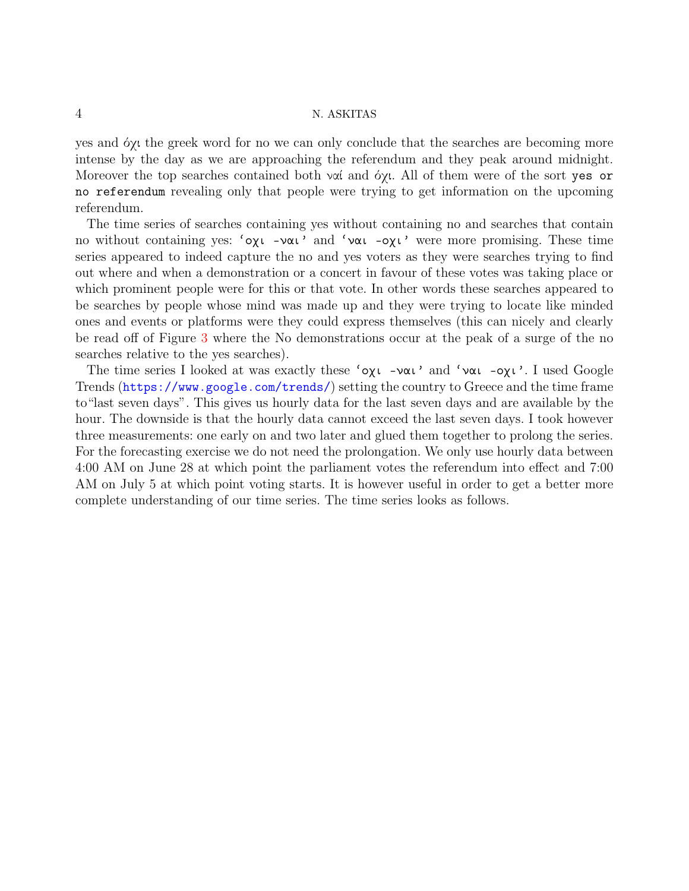yes and όχι the greek word for no we can only conclude that the searches are becoming more intense by the day as we are approaching the referendum and they peak around midnight. Moreover the top searches contained both ναί and όχι. All of them were of the sort yes or no referendum revealing only that people were trying to get information on the upcoming referendum.

The time series of searches containing yes without containing no and searches that contain no without containing yes: 'οχι -ναι' and 'ναι -οχι' were more promising. These time series appeared to indeed capture the no and yes voters as they were searches trying to find out where and when a demonstration or a concert in favour of these votes was taking place or which prominent people were for this or that vote. In other words these searches appeared to be searches by people whose mind was made up and they were trying to locate like minded ones and events or platforms were they could express themselves (this can nicely and clearly be read off of Figure [3](#page-10-0) where the No demonstrations occur at the peak of a surge of the no searches relative to the yes searches).

The time series I looked at was exactly these 'οχι -ναι' and 'ναι -οχι'. I used Google Trends (<https://www.google.com/trends/>) setting the country to Greece and the time frame to"last seven days". This gives us hourly data for the last seven days and are available by the hour. The downside is that the hourly data cannot exceed the last seven days. I took however three measurements: one early on and two later and glued them together to prolong the series. For the forecasting exercise we do not need the prolongation. We only use hourly data between 4:00 AM on June 28 at which point the parliament votes the referendum into effect and 7:00 AM on July 5 at which point voting starts. It is however useful in order to get a better more complete understanding of our time series. The time series looks as follows.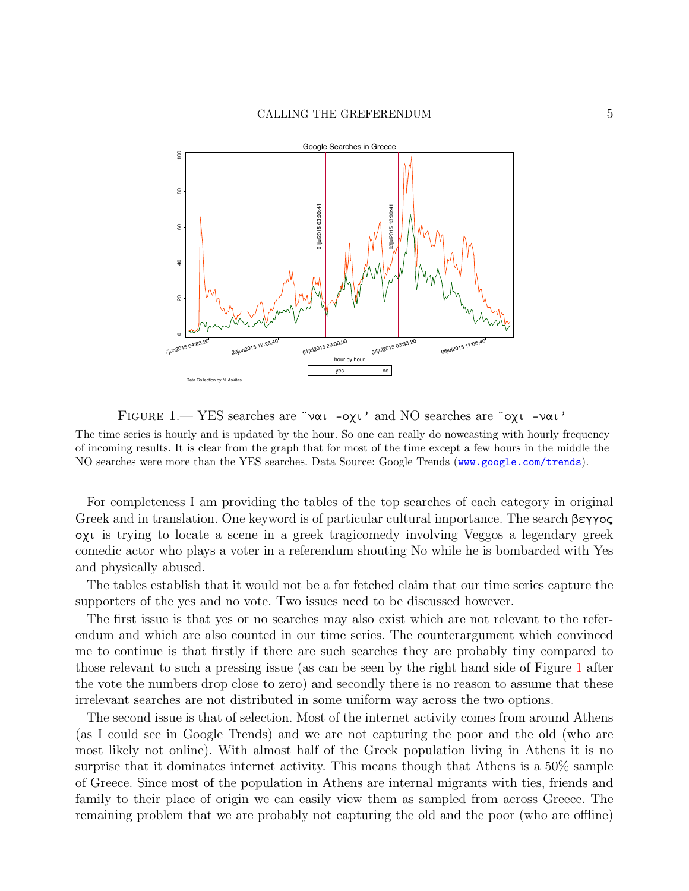

<span id="page-6-0"></span>FIGURE 1.— YES searches are "ναι -οχι' and NO searches are "οχι -ναι'

The time series is hourly and is updated by the hour. So one can really do nowcasting with hourly frequency of incoming results. It is clear from the graph that for most of the time except a few hours in the middle the NO searches were more than the YES searches. Data Source: Google Trends (<www.google.com/trends>).

For completeness I am providing the tables of the top searches of each category in original Greek and in translation. One keyword is of particular cultural importance. The search βεγγος οχι is trying to locate a scene in a greek tragicomedy involving Veggos a legendary greek comedic actor who plays a voter in a referendum shouting No while he is bombarded with Yes and physically abused.

The tables establish that it would not be a far fetched claim that our time series capture the supporters of the yes and no vote. Two issues need to be discussed however.

The first issue is that yes or no searches may also exist which are not relevant to the referendum and which are also counted in our time series. The counterargument which convinced me to continue is that firstly if there are such searches they are probably tiny compared to those relevant to such a pressing issue (as can be seen by the right hand side of Figure [1](#page-6-0) after the vote the numbers drop close to zero) and secondly there is no reason to assume that these irrelevant searches are not distributed in some uniform way across the two options.

The second issue is that of selection. Most of the internet activity comes from around Athens (as I could see in Google Trends) and we are not capturing the poor and the old (who are most likely not online). With almost half of the Greek population living in Athens it is no surprise that it dominates internet activity. This means though that Athens is a 50% sample of Greece. Since most of the population in Athens are internal migrants with ties, friends and family to their place of origin we can easily view them as sampled from across Greece. The remaining problem that we are probably not capturing the old and the poor (who are offline)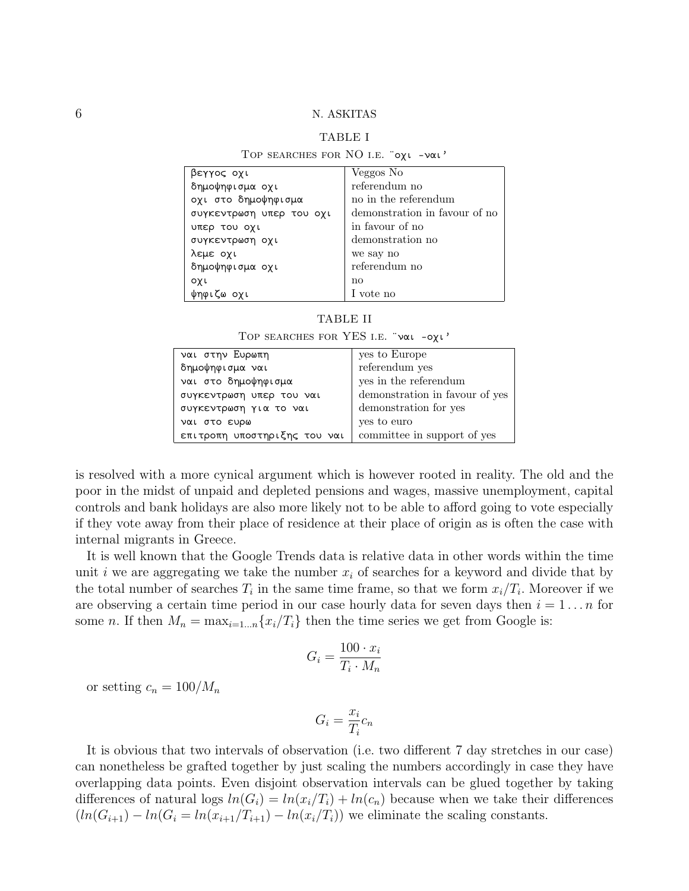# TABLE I

| TOP SEARCHES FOR NO I.E. "0XL -VOL' |                               |
|-------------------------------------|-------------------------------|
| βεγγος οχι                          | Veggos No                     |
| δημοψηφισμα οχι                     | referendum no                 |
| οχι στο δημοψηφισμα                 | no in the referendum          |
| συγκεντρωση υπερ του οχι            | demonstration in favour of no |
| υπερ του οχι                        | in favour of no               |
| συγκεντρωση οχι                     | demonstration no              |
| λεμε οχι                            | we say no                     |
| δημοψηφισμα οχι                     | referendum no                 |
| οχι                                 | $\mathbf{no}$                 |
| ψηφιζω οχι                          | l vote no                     |

# TABLE II

Top searches for YES i.e. ¨ναι -οχι'

| ναι στην Ευρωπη              | yes to Europe                  |
|------------------------------|--------------------------------|
| δημοψηφισμα ναι              | referendum yes                 |
| ναι στο δημοψηφισμα          | yes in the referendum          |
| συγκεντρωση υπερ του ναι     | demonstration in favour of yes |
| συγκεντρωση για το ναι       | demonstration for yes          |
| ναι στο ευρω                 | yes to euro                    |
| επιτροπη υποστηριξης του ναι | committee in support of yes    |

is resolved with a more cynical argument which is however rooted in reality. The old and the poor in the midst of unpaid and depleted pensions and wages, massive unemployment, capital controls and bank holidays are also more likely not to be able to afford going to vote especially if they vote away from their place of residence at their place of origin as is often the case with internal migrants in Greece.

It is well known that the Google Trends data is relative data in other words within the time unit i we are aggregating we take the number  $x_i$  of searches for a keyword and divide that by the total number of searches  $T_i$  in the same time frame, so that we form  $x_i/T_i$ . Moreover if we are observing a certain time period in our case hourly data for seven days then  $i = 1 \dots n$  for some n. If then  $M_n = \max_{i=1...n} \{x_i/T_i\}$  then the time series we get from Google is:

$$
G_i = \frac{100 \cdot x_i}{T_i \cdot M_n}
$$

or setting  $c_n = 100/M_n$ 

$$
G_i = \frac{x_i}{T_i} c_n
$$

It is obvious that two intervals of observation (i.e. two different 7 day stretches in our case) can nonetheless be grafted together by just scaling the numbers accordingly in case they have overlapping data points. Even disjoint observation intervals can be glued together by taking differences of natural logs  $ln(G_i) = ln(x_i/T_i) + ln(c_n)$  because when we take their differences  $(ln(G_{i+1}) - ln(G_i = ln(x_{i+1}/T_{i+1}) - ln(x_i/T_i))$  we eliminate the scaling constants.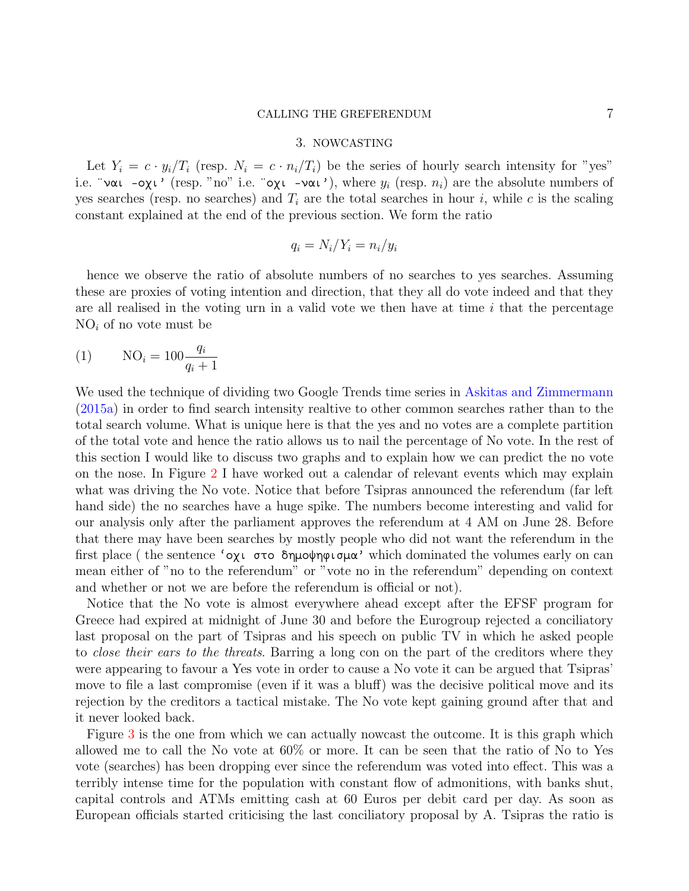#### CALLING THE GREFERENDUM 7

#### 3. NOWCASTING

Let  $Y_i = c \cdot y_i / T_i$  (resp.  $N_i = c \cdot n_i / T_i$ ) be the series of hourly search intensity for "yes" i.e. "ναι -οχι' (resp. "no" i.e. "οχι -ναι'), where  $y_i$  (resp.  $n_i$ ) are the absolute numbers of yes searches (resp. no searches) and  $T_i$  are the total searches in hour i, while c is the scaling constant explained at the end of the previous section. We form the ratio

<span id="page-8-0"></span>
$$
q_i = N_i / Y_i = n_i / y_i
$$

hence we observe the ratio of absolute numbers of no searches to yes searches. Assuming these are proxies of voting intention and direction, that they all do vote indeed and that they are all realised in the voting urn in a valid vote we then have at time  $i$  that the percentage  $NO<sub>i</sub>$  of no vote must be

$$
(1) \qquad \text{NO}_i = 100 \frac{q_i}{q_i + 1}
$$

We used the technique of dividing two Google Trends time series in [Askitas and Zimmermann](#page-11-3) [\(2015a\)](#page-11-3) in order to find search intensity realtive to other common searches rather than to the total search volume. What is unique here is that the yes and no votes are a complete partition of the total vote and hence the ratio allows us to nail the percentage of No vote. In the rest of this section I would like to discuss two graphs and to explain how we can predict the no vote on the nose. In Figure [2](#page-9-0) I have worked out a calendar of relevant events which may explain what was driving the No vote. Notice that before Tsipras announced the referendum (far left hand side) the no searches have a huge spike. The numbers become interesting and valid for our analysis only after the parliament approves the referendum at 4 AM on June 28. Before that there may have been searches by mostly people who did not want the referendum in the first place ( the sentence 'οχι στο δημοψηφισμα' which dominated the volumes early on can mean either of "no to the referendum" or "vote no in the referendum" depending on context and whether or not we are before the referendum is official or not).

Notice that the No vote is almost everywhere ahead except after the EFSF program for Greece had expired at midnight of June 30 and before the Eurogroup rejected a conciliatory last proposal on the part of Tsipras and his speech on public TV in which he asked people to *close their ears to the threats*. Barring a long con on the part of the creditors where they were appearing to favour a Yes vote in order to cause a No vote it can be argued that Tsipras' move to file a last compromise (even if it was a bluff) was the decisive political move and its rejection by the creditors a tactical mistake. The No vote kept gaining ground after that and it never looked back.

Figure [3](#page-10-0) is the one from which we can actually nowcast the outcome. It is this graph which allowed me to call the No vote at 60% or more. It can be seen that the ratio of No to Yes vote (searches) has been dropping ever since the referendum was voted into effect. This was a terribly intense time for the population with constant flow of admonitions, with banks shut, capital controls and ATMs emitting cash at 60 Euros per debit card per day. As soon as European officials started criticising the last conciliatory proposal by A. Tsipras the ratio is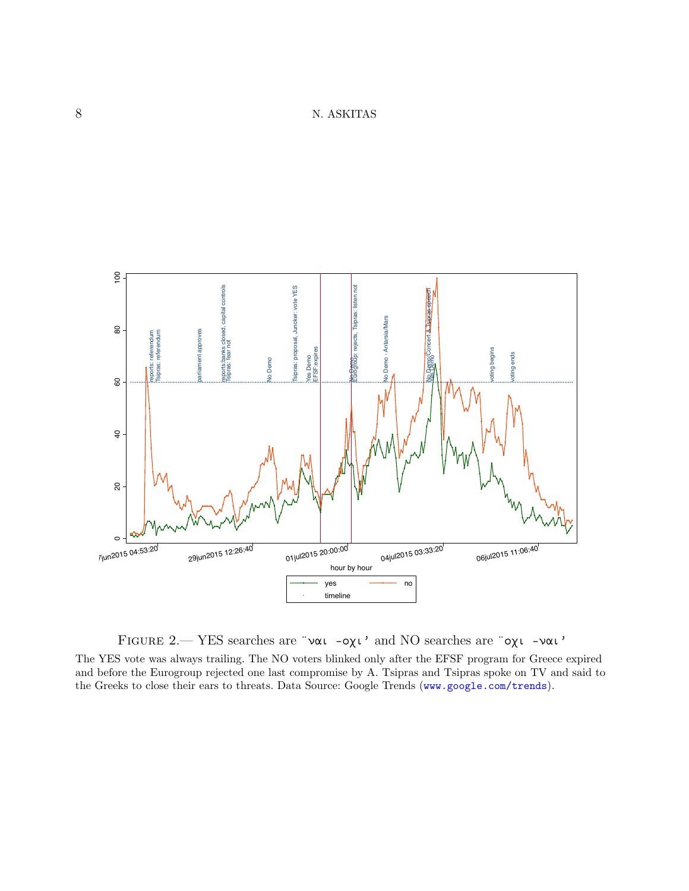

<span id="page-9-0"></span>Figure 2.— YES searches are ¨ναι -οχι' and NO searches are ¨οχι -ναι' The YES vote was always trailing. The NO voters blinked only after the EFSF program for Greece expired

and before the Eurogroup rejected one last compromise by A. Tsipras and Tsipras spoke on TV and said to the Greeks to close their ears to threats. Data Source: Google Trends (<www.google.com/trends>).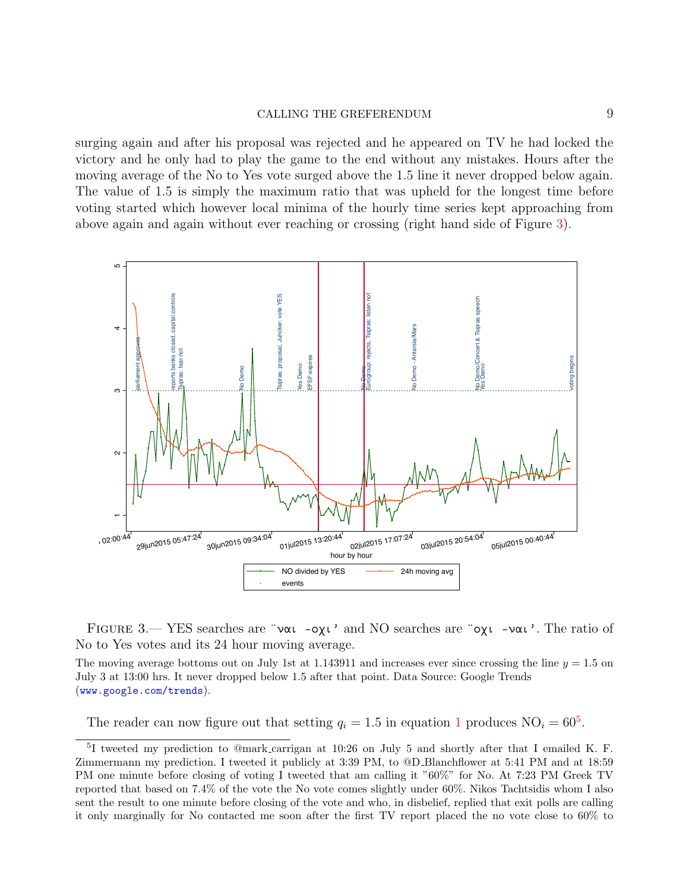## CALLING THE GREFERENDUM 9

surging again and after his proposal was rejected and he appeared on TV he had locked the victory and he only had to play the game to the end without any mistakes. Hours after the moving average of the No to Yes vote surged above the 1.5 line it never dropped below again. The value of 1.5 is simply the maximum ratio that was upheld for the longest time before voting started which however local minima of the hourly time series kept approaching from above again and again without ever reaching or crossing (right hand side of Figure [3\)](#page-10-0).



<span id="page-10-0"></span>Figure 3.— YES searches are ¨ναι -οχι' and NO searches are ¨οχι -ναι'. The ratio of No to Yes votes and its 24 hour moving average.

The moving average bottoms out on July 1st at 1.143911 and increases ever since crossing the line  $y = 1.5$  on July 3 at 13:00 hrs. It never dropped below 1.5 after that point. Data Source: Google Trends (<www.google.com/trends>).

The reader can now figure out that setting  $q_i = 1.5$  $q_i = 1.5$  $q_i = 1.5$  $q_i = 1.5$  in equation 1 produces  $NO_i = 60^5$ .

<span id="page-10-1"></span><sup>5</sup> I tweeted my prediction to @mark carrigan at 10:26 on July 5 and shortly after that I emailed K. F. Zimmermann my prediction. I tweeted it publicly at 3:39 PM, to @D Blanchflower at 5:41 PM and at 18:59 PM one minute before closing of voting I tweeted that am calling it "60%" for No. At 7:23 PM Greek TV reported that based on 7.4% of the vote the No vote comes slightly under 60%. Nikos Tachtsidis whom I also sent the result to one minute before closing of the vote and who, in disbelief, replied that exit polls are calling it only marginally for No contacted me soon after the first TV report placed the no vote close to 60% to